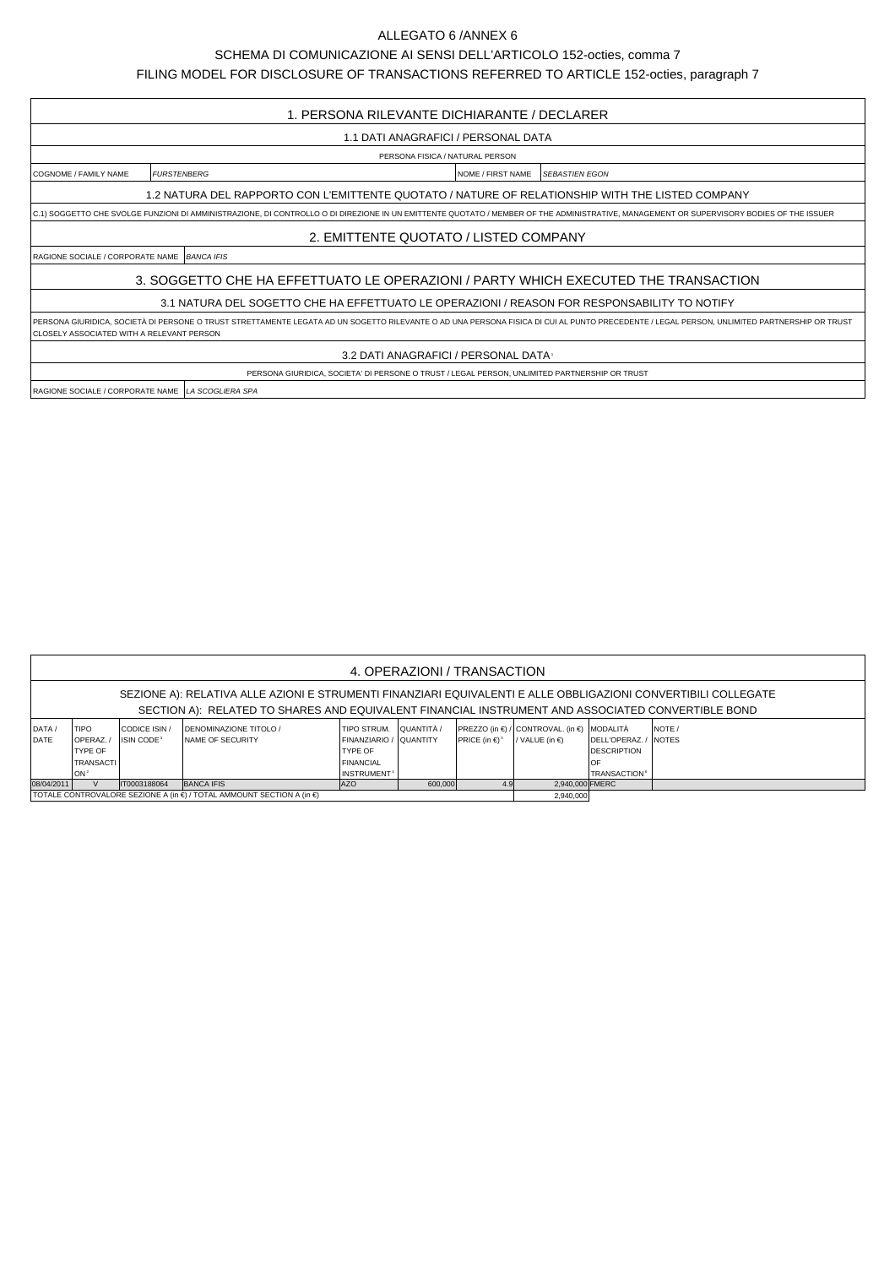## ALLEGATO 6 /ANNEX 6

## SCHEMA DI COMUNICAZIONE AI SENSI DELL'ARTICOLO 152-octies, comma 7

FILING MODEL FOR DISCLOSURE OF TRANSACTIONS REFERRED TO ARTICLE 152-octies, paragraph 7

| 1. PERSONA RILEVANTE DICHIARANTE / DECLARER                                                                                                                                                                                              |                                                                                               |  |  |  |  |  |  |  |  |
|------------------------------------------------------------------------------------------------------------------------------------------------------------------------------------------------------------------------------------------|-----------------------------------------------------------------------------------------------|--|--|--|--|--|--|--|--|
| 1.1 DATI ANAGRAFICI / PERSONAL DATA                                                                                                                                                                                                      |                                                                                               |  |  |  |  |  |  |  |  |
| PERSONA FISICA / NATURAL PERSON                                                                                                                                                                                                          |                                                                                               |  |  |  |  |  |  |  |  |
| COGNOME / FAMILY NAME                                                                                                                                                                                                                    | <b>FURSTENBERG</b><br><b>SFBASTIEN EGON</b><br><b>INOME / FIRST NAME</b>                      |  |  |  |  |  |  |  |  |
| 1.2 NATURA DEL RAPPORTO CON L'EMITTENTE QUOTATO / NATURE OF RELATIONSHIP WITH THE LISTED COMPANY                                                                                                                                         |                                                                                               |  |  |  |  |  |  |  |  |
| C.1) SOGGETTO CHE SVOLGE FUNZIONI DI AMMINISTRAZIONE, DI CONTROLLO O DI DIREZIONE IN UN EMITTENTE QUOTATO / MEMBER OF THE ADMINISTRATIVE, MANAGEMENT OR SUPERVISORY BODIES OF THE ISSUER                                                 |                                                                                               |  |  |  |  |  |  |  |  |
| 2. EMITTENTE QUOTATO / LISTED COMPANY                                                                                                                                                                                                    |                                                                                               |  |  |  |  |  |  |  |  |
|                                                                                                                                                                                                                                          | RAGIONE SOCIALE / CORPORATE NAME BANCA IFIS                                                   |  |  |  |  |  |  |  |  |
| 3. SOGGETTO CHE HA EFFETTUATO LE OPERAZIONI / PARTY WHICH EXECUTED THE TRANSACTION                                                                                                                                                       |                                                                                               |  |  |  |  |  |  |  |  |
| 3.1 NATURA DEL SOGETTO CHE HA EFFETTUATO LE OPERAZIONI / REASON FOR RESPONSABILITY TO NOTIFY                                                                                                                                             |                                                                                               |  |  |  |  |  |  |  |  |
| PERSONA GIURIDICA, SOCIETÀ DI PERSONE O TRUST STRETTAMENTE LEGATA AD UN SOGETTO RILEVANTE O AD UNA PERSONA FISICA DI CUI AL PUNTO PRECEDENTE / LEGAL PERSON, UNLIMITED PARTNERSHIP OR TRUST<br>CLOSELY ASSOCIATED WITH A RELEVANT PERSON |                                                                                               |  |  |  |  |  |  |  |  |
| 3.2 DATI ANAGRAFICI / PERSONAL DATA                                                                                                                                                                                                      |                                                                                               |  |  |  |  |  |  |  |  |
|                                                                                                                                                                                                                                          | PERSONA GIURIDICA, SOCIETA' DI PERSONE O TRUST / LEGAL PERSON, UNLIMITED PARTNERSHIP OR TRUST |  |  |  |  |  |  |  |  |
| RAGIONE SOCIALE / CORPORATE NAME LA SCOGLIERA SPA                                                                                                                                                                                        |                                                                                               |  |  |  |  |  |  |  |  |

| 4. OPERAZIONI / TRANSACTION                                                                                                                                                                                         |                  |                        |                                                                                           |                         |            |                                |                                            |                                 |             |  |  |
|---------------------------------------------------------------------------------------------------------------------------------------------------------------------------------------------------------------------|------------------|------------------------|-------------------------------------------------------------------------------------------|-------------------------|------------|--------------------------------|--------------------------------------------|---------------------------------|-------------|--|--|
| SEZIONE A): RELATIVA ALLE AZIONI E STRUMENTI FINANZIARI EQUIVALENTI E ALLE OBBLIGAZIONI CONVERTIBILI COLLEGATE<br>SECTION A): RELATED TO SHARES AND EQUIVALENT FINANCIAL INSTRUMENT AND ASSOCIATED CONVERTIBLE BOND |                  |                        |                                                                                           |                         |            |                                |                                            |                                 |             |  |  |
|                                                                                                                                                                                                                     |                  |                        |                                                                                           |                         |            |                                |                                            |                                 |             |  |  |
| DATA /                                                                                                                                                                                                              | <b>TIPO</b>      | CODICE ISIN /          | <b>IDENOMINAZIONE TITOLO /</b>                                                            | TIPO STRUM.             | QUANTITÀ / |                                | PREZZO (in €) / CONTROVAL. (in €) MODALITÀ |                                 | <b>NOTE</b> |  |  |
| DATE                                                                                                                                                                                                                | <b>IOPERAZ.</b>  | ISIN CODE <sup>3</sup> | <b>INAME OF SECURITY</b>                                                                  | FINANZIARIO / QUANTITY  |            | PRICE (in $\in$ ) <sup>5</sup> | / VALUE (in $\epsilon$ )                   | DELL'OPERAZ. / NOTES            |             |  |  |
|                                                                                                                                                                                                                     | <b>TYPE OF</b>   |                        |                                                                                           | <b>TYPE OF</b>          |            |                                |                                            | <b>DESCRIPTION</b>              |             |  |  |
|                                                                                                                                                                                                                     | <b>TRANSACTI</b> |                        |                                                                                           | <b>FINANCIAL</b>        |            |                                |                                            | <b>OF</b>                       |             |  |  |
|                                                                                                                                                                                                                     | lon <sup>3</sup> |                        |                                                                                           | INSTRUMENT <sup>+</sup> |            |                                |                                            | <b>TRANSACTION</b> <sup>6</sup> |             |  |  |
| 08/04/2011                                                                                                                                                                                                          |                  | IT0003188064           | <b>BANCA IFIS</b>                                                                         | <b>AZO</b>              | 600,000    | 4.9                            | 2.940.000 FMERC                            |                                 |             |  |  |
|                                                                                                                                                                                                                     |                  |                        | TOTALE CONTROVALORE SEZIONE A (in $\epsilon$ ) / TOTAL AMMOUNT SECTION A (in $\epsilon$ ) | 2,940,000               |            |                                |                                            |                                 |             |  |  |